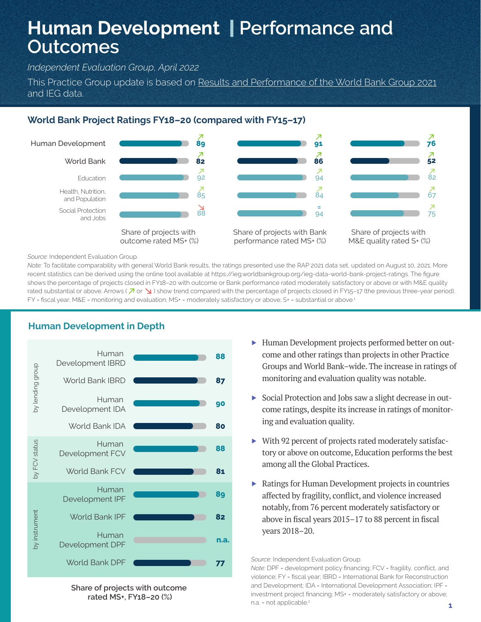# **Human Development** | **Performance and Outcomes**

*Independent Evaluation Group, April 2022*

This Practice Group update is based on Results and Performance of the World Bank Group 2021 and IEG data.

# **World Bank Project Ratings FY18–20 (compared with FY15–17)**



#### *Source:* Independent Evaluation Group.

*Note:* To facilitate comparability with general World Bank results, the ratings presented use the RAP 2021 data set, updated on August 10, 2021. More recent statistics can be derived using the online tool available at https://ieg.worldbankgroup.org/ieg-data-world-bank-project-ratings. The figure shows the percentage of projects closed in FY18–20 with outcome or Bank performance rated moderately satisfactory or above or with M&E quality rated substantial or above. Arrows ( $\overline{A}$  or  $\overline{B}$ ) show trend compared with the percentage of projects closed in FY15-17 (the previous three-year period). FY = fiscal year; M&E = monitoring and evaluation; MS+ = moderately satisfactory or above; S+ = substantial or above.<sup>1</sup>



# **Human Development in Depth**

**Share of projects with outcome rated MS+, FY18–20 (%)**

- ▶ Human Development projects performed better on outcome and other ratings than projects in other Practice Groups and World Bank–wide. The increase in ratings of monitoring and evaluation quality was notable.
- ▶ Social Protection and Jobs saw a slight decrease in outcome ratings, despite its increase in ratings of monitoring and evaluation quality.
- ▶ With 92 percent of projects rated moderately satisfactory or above on outcome, Education performs the best among all the Global Practices.
- ▶ Ratings for Human Development projects in countries affected by fragility, conflict, and violence increased notably, from 76 percent moderately satisfactory or above in fiscal years 2015–17 to 88 percent in fiscal years 2018–20.

*Source:* Independent Evaluation Group.

*Note:* DPF = development policy financing; FCV = fragility, conflict, and violence; FY = fiscal year; IBRD = International Bank for Reconstruction and Development; IDA = International Development Association; IPF = investment project financing; MS+ = moderately satisfactory or above; n.a. = not applicable.<sup>2</sup>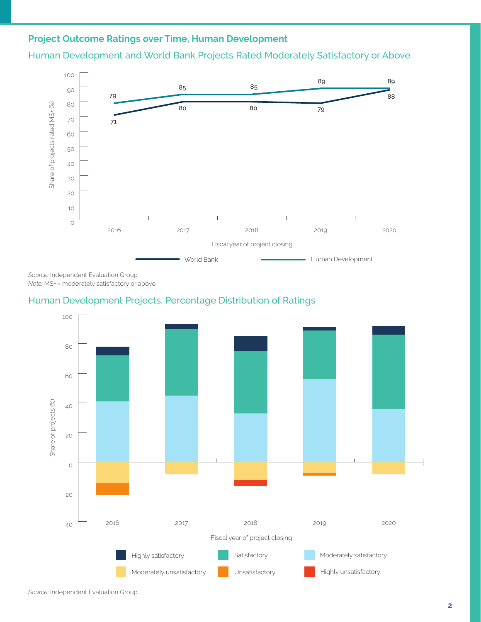# **Project Outcome Ratings over Time, Human Development**

Human Development and World Bank Projects Rated Moderately Satisfactory or Above



*Source:* Independent Evaluation Group. *Note:* MS+ = moderately satisfactory or above.

### Human Development Projects, Percentage Distribution of Ratings

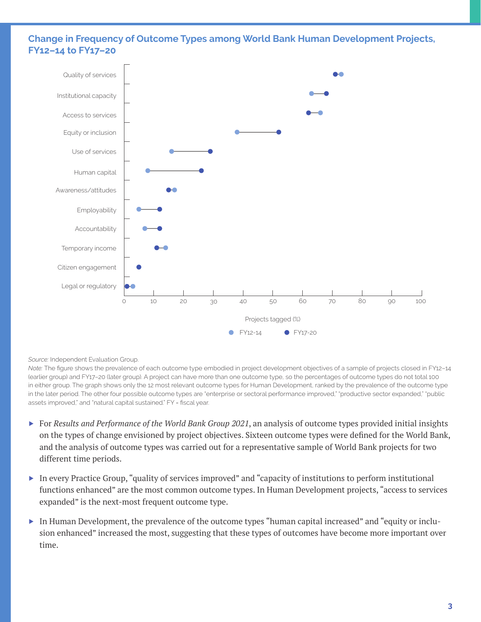## **Change in Frequency of Outcome Types among World Bank Human Development Projects, FY12–14 to FY17–20**



#### *Source:* Independent Evaluation Group.

*Note:* The figure shows the prevalence of each outcome type embodied in project development objectives of a sample of projects closed in FY12–14 (earlier group) and FY17–20 (later group). A project can have more than one outcome type, so the percentages of outcome types do not total 100 in either group. The graph shows only the 12 most relevant outcome types for Human Development, ranked by the prevalence of the outcome type in the later period. The other four possible outcome types are "enterprise or sectoral performance improved," "productive sector expanded," "public assets improved," and "natural capital sustained." FY = fiscal year.

- ▶ For *Results and Performance of the World Bank Group 2021*, an analysis of outcome types provided initial insights on the types of change envisioned by project objectives. Sixteen outcome types were defined for the World Bank, and the analysis of outcome types was carried out for a representative sample of World Bank projects for two different time periods.
- ▶ In every Practice Group, "quality of services improved" and "capacity of institutions to perform institutional functions enhanced" are the most common outcome types. In Human Development projects, "access to services expanded" is the next-most frequent outcome type.
- ▶ In Human Development, the prevalence of the outcome types "human capital increased" and "equity or inclusion enhanced" increased the most, suggesting that these types of outcomes have become more important over time.